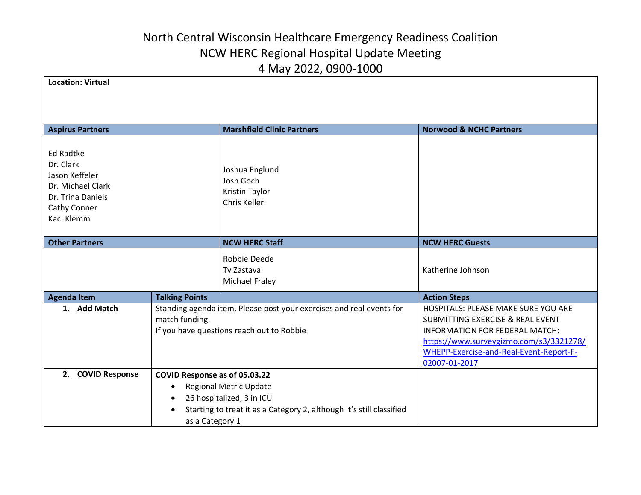| <b>Location: Virtual</b>                                                                                                |                                                                                                                                     |                                                                                                                                    |                                                                                                                                                                                                                             |
|-------------------------------------------------------------------------------------------------------------------------|-------------------------------------------------------------------------------------------------------------------------------------|------------------------------------------------------------------------------------------------------------------------------------|-----------------------------------------------------------------------------------------------------------------------------------------------------------------------------------------------------------------------------|
| <b>Aspirus Partners</b>                                                                                                 |                                                                                                                                     | <b>Marshfield Clinic Partners</b>                                                                                                  | <b>Norwood &amp; NCHC Partners</b>                                                                                                                                                                                          |
| <b>Ed Radtke</b><br>Dr. Clark<br>Jason Keffeler<br>Dr. Michael Clark<br>Dr. Trina Daniels<br>Cathy Conner<br>Kaci Klemm |                                                                                                                                     | Joshua Englund<br>Josh Goch<br>Kristin Taylor<br>Chris Keller                                                                      |                                                                                                                                                                                                                             |
| <b>Other Partners</b>                                                                                                   |                                                                                                                                     | <b>NCW HERC Staff</b>                                                                                                              | <b>NCW HERC Guests</b>                                                                                                                                                                                                      |
|                                                                                                                         |                                                                                                                                     | Robbie Deede<br>Ty Zastava<br><b>Michael Fraley</b>                                                                                | Katherine Johnson                                                                                                                                                                                                           |
| <b>Agenda Item</b>                                                                                                      | <b>Talking Points</b>                                                                                                               |                                                                                                                                    | <b>Action Steps</b>                                                                                                                                                                                                         |
| 1. Add Match                                                                                                            | Standing agenda item. Please post your exercises and real events for<br>match funding.<br>If you have questions reach out to Robbie |                                                                                                                                    | HOSPITALS: PLEASE MAKE SURE YOU ARE<br><b>SUBMITTING EXERCISE &amp; REAL EVENT</b><br>INFORMATION FOR FEDERAL MATCH:<br>https://www.surveygizmo.com/s3/3321278/<br>WHEPP-Exercise-and-Real-Event-Report-F-<br>02007-01-2017 |
| 2. COVID Response<br>COVID Response as of 05.03.22                                                                      |                                                                                                                                     |                                                                                                                                    |                                                                                                                                                                                                                             |
|                                                                                                                         | $\bullet$<br>$\bullet$<br>as a Category 1                                                                                           | <b>Regional Metric Update</b><br>26 hospitalized, 3 in ICU<br>Starting to treat it as a Category 2, although it's still classified |                                                                                                                                                                                                                             |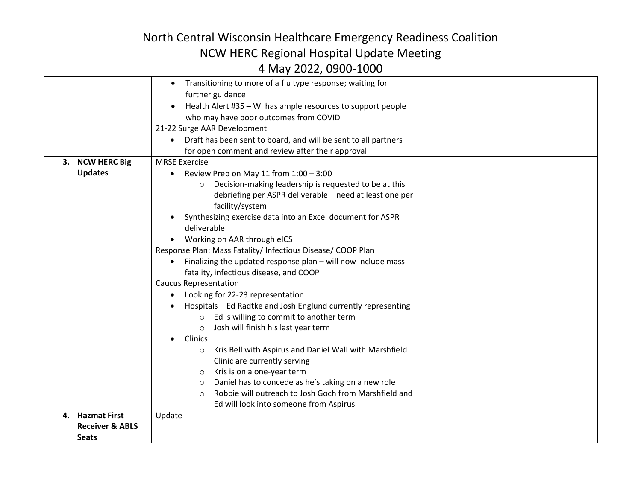| for open comment and review after their approval<br><b>NCW HERC Big</b><br><b>MRSE Exercise</b><br>3.<br><b>Updates</b><br>Review Prep on May 11 from 1:00 - 3:00<br>Decision-making leadership is requested to be at this<br>$\circ$<br>debriefing per ASPR deliverable - need at least one per<br>facility/system<br>Synthesizing exercise data into an Excel document for ASPR<br>deliverable<br>Working on AAR through eICS<br>Response Plan: Mass Fatality/ Infectious Disease/ COOP Plan<br>Finalizing the updated response plan - will now include mass<br>$\bullet$<br>fatality, infectious disease, and COOP<br><b>Caucus Representation</b><br>Looking for 22-23 representation<br>Hospitals - Ed Radtke and Josh Englund currently representing<br>Ed is willing to commit to another term<br>$\circ$<br>Josh will finish his last year term<br>$\circ$<br>Clinics<br>Kris Bell with Aspirus and Daniel Wall with Marshfield<br>$\circ$<br>Clinic are currently serving<br>Kris is on a one-year term<br>$\circ$<br>Daniel has to concede as he's taking on a new role<br>$\circ$<br>Robbie will outreach to Josh Goch from Marshfield and<br>$\circ$<br>Ed will look into someone from Aspirus<br>4. Hazmat First<br>Update<br><b>Receiver &amp; ABLS</b> |       | Transitioning to more of a flu type response; waiting for<br>$\bullet$<br>further guidance<br>Health Alert #35 - WI has ample resources to support people<br>$\bullet$<br>who may have poor outcomes from COVID<br>21-22 Surge AAR Development<br>Draft has been sent to board, and will be sent to all partners |  |
|-----------------------------------------------------------------------------------------------------------------------------------------------------------------------------------------------------------------------------------------------------------------------------------------------------------------------------------------------------------------------------------------------------------------------------------------------------------------------------------------------------------------------------------------------------------------------------------------------------------------------------------------------------------------------------------------------------------------------------------------------------------------------------------------------------------------------------------------------------------------------------------------------------------------------------------------------------------------------------------------------------------------------------------------------------------------------------------------------------------------------------------------------------------------------------------------------------------------------------------------------------------------------|-------|------------------------------------------------------------------------------------------------------------------------------------------------------------------------------------------------------------------------------------------------------------------------------------------------------------------|--|
|                                                                                                                                                                                                                                                                                                                                                                                                                                                                                                                                                                                                                                                                                                                                                                                                                                                                                                                                                                                                                                                                                                                                                                                                                                                                       |       |                                                                                                                                                                                                                                                                                                                  |  |
|                                                                                                                                                                                                                                                                                                                                                                                                                                                                                                                                                                                                                                                                                                                                                                                                                                                                                                                                                                                                                                                                                                                                                                                                                                                                       |       |                                                                                                                                                                                                                                                                                                                  |  |
|                                                                                                                                                                                                                                                                                                                                                                                                                                                                                                                                                                                                                                                                                                                                                                                                                                                                                                                                                                                                                                                                                                                                                                                                                                                                       |       |                                                                                                                                                                                                                                                                                                                  |  |
|                                                                                                                                                                                                                                                                                                                                                                                                                                                                                                                                                                                                                                                                                                                                                                                                                                                                                                                                                                                                                                                                                                                                                                                                                                                                       |       |                                                                                                                                                                                                                                                                                                                  |  |
|                                                                                                                                                                                                                                                                                                                                                                                                                                                                                                                                                                                                                                                                                                                                                                                                                                                                                                                                                                                                                                                                                                                                                                                                                                                                       |       |                                                                                                                                                                                                                                                                                                                  |  |
|                                                                                                                                                                                                                                                                                                                                                                                                                                                                                                                                                                                                                                                                                                                                                                                                                                                                                                                                                                                                                                                                                                                                                                                                                                                                       |       |                                                                                                                                                                                                                                                                                                                  |  |
|                                                                                                                                                                                                                                                                                                                                                                                                                                                                                                                                                                                                                                                                                                                                                                                                                                                                                                                                                                                                                                                                                                                                                                                                                                                                       |       |                                                                                                                                                                                                                                                                                                                  |  |
|                                                                                                                                                                                                                                                                                                                                                                                                                                                                                                                                                                                                                                                                                                                                                                                                                                                                                                                                                                                                                                                                                                                                                                                                                                                                       |       |                                                                                                                                                                                                                                                                                                                  |  |
|                                                                                                                                                                                                                                                                                                                                                                                                                                                                                                                                                                                                                                                                                                                                                                                                                                                                                                                                                                                                                                                                                                                                                                                                                                                                       |       |                                                                                                                                                                                                                                                                                                                  |  |
|                                                                                                                                                                                                                                                                                                                                                                                                                                                                                                                                                                                                                                                                                                                                                                                                                                                                                                                                                                                                                                                                                                                                                                                                                                                                       |       |                                                                                                                                                                                                                                                                                                                  |  |
|                                                                                                                                                                                                                                                                                                                                                                                                                                                                                                                                                                                                                                                                                                                                                                                                                                                                                                                                                                                                                                                                                                                                                                                                                                                                       |       |                                                                                                                                                                                                                                                                                                                  |  |
|                                                                                                                                                                                                                                                                                                                                                                                                                                                                                                                                                                                                                                                                                                                                                                                                                                                                                                                                                                                                                                                                                                                                                                                                                                                                       |       |                                                                                                                                                                                                                                                                                                                  |  |
|                                                                                                                                                                                                                                                                                                                                                                                                                                                                                                                                                                                                                                                                                                                                                                                                                                                                                                                                                                                                                                                                                                                                                                                                                                                                       |       |                                                                                                                                                                                                                                                                                                                  |  |
|                                                                                                                                                                                                                                                                                                                                                                                                                                                                                                                                                                                                                                                                                                                                                                                                                                                                                                                                                                                                                                                                                                                                                                                                                                                                       |       |                                                                                                                                                                                                                                                                                                                  |  |
|                                                                                                                                                                                                                                                                                                                                                                                                                                                                                                                                                                                                                                                                                                                                                                                                                                                                                                                                                                                                                                                                                                                                                                                                                                                                       |       |                                                                                                                                                                                                                                                                                                                  |  |
|                                                                                                                                                                                                                                                                                                                                                                                                                                                                                                                                                                                                                                                                                                                                                                                                                                                                                                                                                                                                                                                                                                                                                                                                                                                                       |       |                                                                                                                                                                                                                                                                                                                  |  |
|                                                                                                                                                                                                                                                                                                                                                                                                                                                                                                                                                                                                                                                                                                                                                                                                                                                                                                                                                                                                                                                                                                                                                                                                                                                                       |       |                                                                                                                                                                                                                                                                                                                  |  |
|                                                                                                                                                                                                                                                                                                                                                                                                                                                                                                                                                                                                                                                                                                                                                                                                                                                                                                                                                                                                                                                                                                                                                                                                                                                                       | Seats |                                                                                                                                                                                                                                                                                                                  |  |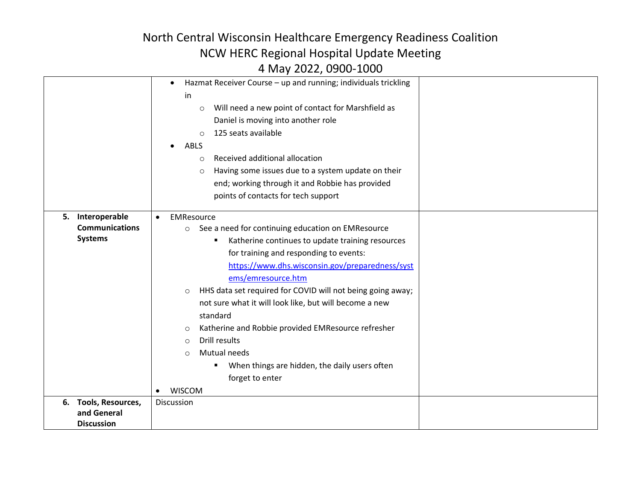|    |                          | Hazmat Receiver Course - up and running; individuals trickling<br>$\bullet$ |  |
|----|--------------------------|-----------------------------------------------------------------------------|--|
|    |                          | in                                                                          |  |
|    |                          | Will need a new point of contact for Marshfield as<br>$\circ$               |  |
|    |                          | Daniel is moving into another role                                          |  |
|    |                          | 125 seats available<br>$\bigcirc$                                           |  |
|    |                          | ABLS<br>$\bullet$                                                           |  |
|    |                          | Received additional allocation<br>$\circ$                                   |  |
|    |                          | Having some issues due to a system update on their<br>$\circ$               |  |
|    |                          | end; working through it and Robbie has provided                             |  |
|    |                          | points of contacts for tech support                                         |  |
|    |                          |                                                                             |  |
|    | 5. Interoperable         | EMResource<br>$\bullet$                                                     |  |
|    | <b>Communications</b>    | See a need for continuing education on EMResource<br>$\circ$                |  |
|    | <b>Systems</b>           | Katherine continues to update training resources<br>٠                       |  |
|    |                          | for training and responding to events:                                      |  |
|    |                          | https://www.dhs.wisconsin.gov/preparedness/syst                             |  |
|    |                          | ems/emresource.htm                                                          |  |
|    |                          | HHS data set required for COVID will not being going away;<br>$\circ$       |  |
|    |                          | not sure what it will look like, but will become a new                      |  |
|    |                          | standard                                                                    |  |
|    |                          | Katherine and Robbie provided EMResource refresher<br>$\circ$               |  |
|    |                          | Drill results<br>$\circ$                                                    |  |
|    |                          | Mutual needs<br>$\Omega$                                                    |  |
|    |                          | When things are hidden, the daily users often                               |  |
|    |                          | forget to enter                                                             |  |
|    |                          | <b>WISCOM</b><br>$\bullet$                                                  |  |
| 6. | <b>Tools, Resources,</b> | <b>Discussion</b>                                                           |  |
|    | and General              |                                                                             |  |
|    | <b>Discussion</b>        |                                                                             |  |